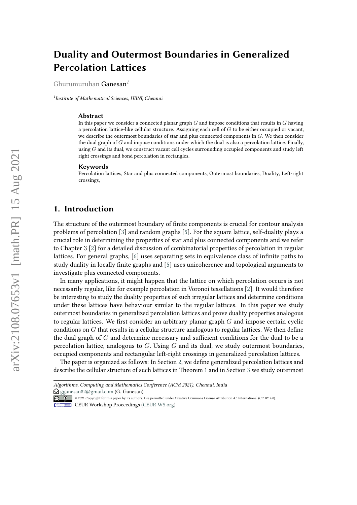# **Duality and Outermost Boundaries in Generalized Percolation Lattices**

Ghurumuruhan Ganesan*<sup>1</sup>*

*1 Institute of Mathematical Sciences, HBNI, Chennai*

#### **Abstract**

In this paper we consider a connected planar graph  $G$  and impose conditions that results in  $G$  having a percolation lattice-like cellular structure. Assigning each cell of  $G$  to be either occupied or vacant, we describe the outermost boundaries of star and plus connected components in  $G$ . We then consider the dual graph of  $G$  and impose conditions under which the dual is also a percolation lattice. Finally, using  $G$  and its dual, we construct vacant cell cycles surrounding occupied components and study left right crossings and bond percolation in rectangles.

#### **Keywords**

Percolation lattices, Star and plus connected components, Outermost boundaries, Duality, Left-right crossings,

### **1. Introduction**

The structure of the outermost boundary of finite components is crucial for contour analysis problems of percolation [\[3\]](#page-19-0) and random graphs [\[5\]](#page-19-1). For the square lattice, self-duality plays a crucial role in determining the properties of star and plus connected components and we refer to Chapter 3 [\[2\]](#page-19-2) for a detailed discussion of combinatorial properties of percolation in regular lattices. For general graphs, [\[6\]](#page-19-3) uses separating sets in equivalence class of infinite paths to study duality in locally finite graphs and [\[5\]](#page-19-1) uses unicoherence and topological arguments to investigate plus connected components.

In many applications, it might happen that the lattice on which percolation occurs is not necessarily regular, like for example percolation in Voronoi tessellations [\[2\]](#page-19-2). It would therefore be interesting to study the duality properties of such irregular lattices and determine conditions under these lattices have behaviour similar to the regular lattices. In this paper we study outermost boundaries in generalized percolation lattices and prove duality properties analogous to regular lattices. We first consider an arbitrary planar graph  $G$  and impose certain cyclic conditions on  $G$  that results in a cellular structure analogous to regular lattices. We then define the dual graph of  $G$  and determine necessary and sufficient conditions for the dual to be a percolation lattice, analogous to  $G$ . Using  $G$  and its dual, we study outermost boundaries, occupied components and rectangular left-right crossings in generalized percolation lattices.

The paper is organized as follows: In Section [2,](#page-1-0) we define generalized percolation lattices and describe the cellular structure of such lattices in Theorem [1](#page-1-1) and in Section [3](#page-4-0) we study outermost

*Algorithms, Computing and Mathematics Conference (ACM 2021), Chennai, India*  $\bigcirc$  [gganesan82@gmail.com](mailto:gganesan82@gmail.com) (G. Ganesan)

<sup>©</sup> 2021 Copyright for this paper by its authors. Use permitted under Creative Commons License Attribution 4.0 International (CC BY 4.0).

CEUR Workshop [Proceedings](http://ceur-ws.org) [\(CEUR-WS.org\)](http://ceur-ws.org)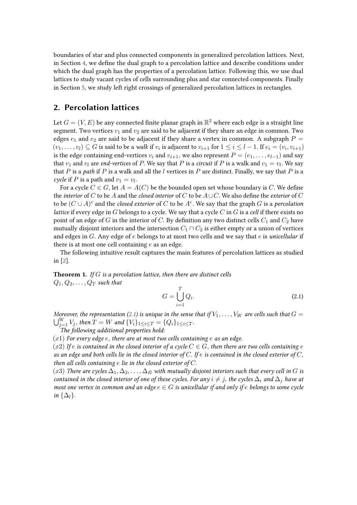boundaries of star and plus connected components in generalized percolation lattices. Next, in Section [4,](#page-8-0) we define the dual graph to a percolation lattice and describe conditions under which the dual graph has the properties of a percolation lattice. Following this, we use dual lattices to study vacant cycles of cells surrounding plus and star connected components. Finally in Section [5,](#page-11-0) we study left right crossings of generalized percolation lattices in rectangles.

### <span id="page-1-0"></span>**2. Percolation lattices**

Let  $G = (V, E)$  be any connected finite planar graph in  $\mathbb{R}^2$  where each edge is a straight line segment. Two vertices  $v_1$  and  $v_2$  are said to be adjacent if they share an edge in common. Two edges  $e_1$  and  $e_2$  are said to be adjacent if they share a vertex in common. A subgraph  $P =$  $(v_1,\ldots,v_l)\subseteq G$  is said to be a *walk* if  $v_i$  is adjacent to  $v_{i+1}$  for  $1\leq i\leq l-1.$  If  $e_i=(v_i,v_{i+1})$ is the edge containing end-vertices  $v_i$  and  $v_{i+1}$ , we also represent  $P = (e_1, \ldots, e_{l-1})$  and say that  $v_1$  and  $v_l$  are *end-vertices* of P. We say that P is a *circuit* if P is a walk and  $v_1 = v_l$ . We say that  $P$  is a *path* if  $P$  is a walk and all the  $l$  vertices in  $P$  are distinct. Finally, we say that  $P$  is a *cycle* if *P* is a path and  $v_1 = v_l$ .

For a cycle  $C \in G$ , let  $A = A(C)$  be the bounded open set whose boundary is C. We define the *interior* of  $C$  to be  $A$  and the *closed interior* of  $C$  to be  $A\cup C$ . We also define the *exterior* of  $C$ to be  $(C \cup A)^c$  and the *closed exterior* of  $C$  to be  $A^c$ . We say that the graph  $G$  is a *percolation lattice* if every edge in  $G$  belongs to a cycle. We say that a cycle  $C$  in  $G$  is a *cell* if there exists no point of an edge of G in the interior of C. By definition any two distinct cells  $C_1$  and  $C_2$  have mutually disjoint interiors and the intersection  $C_1 \cap C_2$  is either empty or a union of vertices and edges in G. Any edge of e belongs to at most two cells and we say that e is *unicellular* if there is at most one cell containing  $e$  as an edge.

The following intuitive result captures the main features of percolation lattices as studied in [\[2\]](#page-19-2).

<span id="page-1-1"></span>**Theorem 1.** *If is a percolation lattice, then there are distinct cells*  $Q_1, Q_2, \ldots, Q_T$  such that

<span id="page-1-2"></span>
$$
G = \bigcup_{i=1}^{T} Q_i.
$$
\n(2.1)

*Moreover, the representation [\(2.1\)](#page-1-2) is unique in the sense that if*  $V_1, \ldots, V_W$  *are cells such that*  $G =$  $\bigcup_{j=1}^{W} V_j$ , then  $T = W$  and  $\{V_i\}_{1 \leq i \leq T} = \{Q_i\}_{1 \leq i \leq T}$ .

*The following additional properties hold:*

 $(x1)$  *For every edge e, there are at most two cells containing e as an edge.* 

 $(x2)$  *If*  $e$  *is contained in the closed interior of a cycle*  $C \in G$ , *then there are two cells containing e as an edge and both cells lie in the closed interior of*  $C$ *. If*  $e$  *is contained in the closed exterior of*  $C$ , *then all cells containing*  $e$  *lie in the closed exterior of*  $C$ *.* 

(x3) There are cycles  $\Delta_1, \Delta_2, \ldots, \Delta_B$  with mutually disjoint interiors such that every cell in G is *contained in the closed interior of one of these cycles. For any*  $i \neq j$ , the cycles  $\Delta_i$  and  $\Delta_j$  have at *most one vertex in common and an edge*  $e \in G$  *is unicellular if and only if e belongs to some cycle in*  $\{\Delta_l\}$ .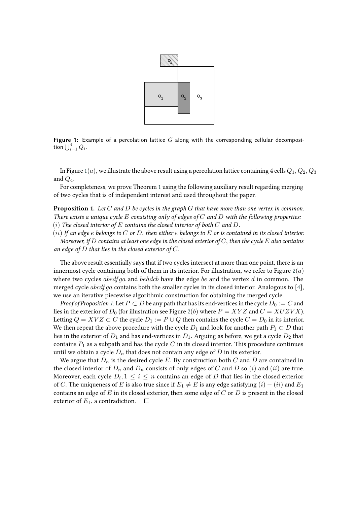<span id="page-2-0"></span>

**Figure 1:** Example of a percolation lattice  $G$  along with the corresponding cellular decomposition  $\bigcup_{i=1}^4 Q_i$ .

In Figure [1](#page-2-0)(a), we illustrate the above result using a percolation lattice containing 4 cells  $Q_1, Q_2, Q_3$ and  $Q_4$ .

For completeness, we prove Theorem [1](#page-1-1) using the following auxiliary result regarding merging of two cycles that is of independent interest and used throughout the paper.

<span id="page-2-1"></span>**Proposition 1.** *Let and be cycles in the graph that have more than one vertex in common. There exists a unique cycle consisting only of edges of and with the following properties:*  $(i)$  *The closed interior of*  $E$  contains the closed interior of both  $C$  and  $D$ .

 $(i)$  *If an edge e belongs to*  $C$  *or*  $D$ , then either  $e$  belongs to  $E$  *or is contained in its closed interior.* 

*Moreover, if*  $D$  contains at least one edge in the closed exterior of  $C$ , then the cycle  $E$  also contains an edge of  $D$  that lies in the closed exterior of  $C$ .

The above result essentially says that if two cycles intersect at more than one point, there is an innermost cycle containing both of them in its interior. For illustration, we refer to Figure  $2(a)$  $2(a)$ where two cycles abed fga and behach have the edge be and the vertex  $d$  in common. The merged cycle  $abcdfga$  contains both the smaller cycles in its closed interior. Analogous to [\[4\]](#page-19-4), we use an iterative piecewise algorithmic construction for obtaining the merged cycle.

*Proof of Proposition* [1](#page-2-1): Let  $P \subset D$  be any path that has its end-vertices in the cycle  $D_0 := C$  and lies in the exterior of  $D_0$  (for illustration see Figure [2](#page-3-0)(b) where  $P = XYZ$  and  $C = XUZVX$ ). Letting  $Q = XYZ \subset C$  the cycle  $D_1 := P \cup Q$  then contains the cycle  $C = D_0$  in its interior. We then repeat the above procedure with the cycle  $D_1$  and look for another path  $P_1 \subset D$  that lies in the exterior of  $D_1$  and has end-vertices in  $D_1$ . Arguing as before, we get a cycle  $D_2$  that contains  $P_1$  as a subpath and has the cycle  $C$  in its closed interior. This procedure continues until we obtain a cycle  $D_n$  that does not contain any edge of  $D$  in its exterior.

We argue that  $D_n$  is the desired cycle E. By construction both  $C$  and  $D$  are contained in the closed interior of  $D_n$  and  $D_n$  consists of only edges of C and D so (i) and (ii) are true. Moreover, each cycle  $D_i, 1 \leq i \leq n$  contains an edge of  $D$  that lies in the closed exterior of C. The uniqueness of E is also true since if  $E_1 \neq E$  is any edge satisfying  $(i) - (ii)$  and  $E_1$ contains an edge of  $E$  in its closed exterior, then some edge of  $C$  or  $D$  is present in the closed exterior of  $E_1$ , a contradiction.  $\Box$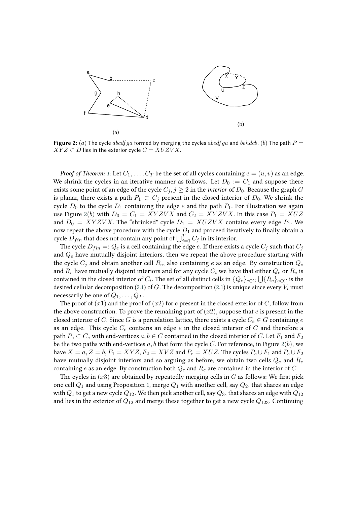<span id="page-3-0"></span>

**Figure 2:** (a) The cycle  $abcdfaa$  formed by merging the cycles  $abedfaa$  and  $behdcb$ . (b) The path  $P =$  $XYZ \subset D$  lies in the exterior cycle  $C = XUZVX$ .

*Proof of Theorem* [1](#page-1-1): Let  $C_1, \ldots, C_T$  be the set of all cycles containing  $e = (u, v)$  as an edge. We shrink the cycles in an iterative manner as follows. Let  $D_0 := C_1$  and suppose there exists some point of an edge of the cycle  $C_j$ ,  $j \geq 2$  in the *interior* of  $D_0$ . Because the graph G is planar, there exists a path  $P_1 \subset C_j$  present in the closed interior of  $D_0$ . We shrink the cycle  $D_0$  to the cycle  $D_1$  containing the edge  $e$  and the path  $P_1$ . For illustration we again use Figure [2](#page-3-0)(b) with  $D_0 = C_1 = XYZVX$  and  $C_2 = XYZVX$ . In this case  $P_1 = XUZ$ and  $D_0 = XYZVX$ . The "shrinked" cycle  $D_1 = XUZVX$  contains every edge  $P_1$ . We now repeat the above procedure with the cycle  $D_1$  and proceed iteratively to finally obtain a cycle  $\overline{D}_{fin}$  that does not contain any point of  $\bigcup_{j=1}^T C_j$  in its interior.

The cycle  $D_{fin} =: Q_e$  is a cell containing the edge e. If there exists a cycle  $C_i$  such that  $C_i$ and  $Q_e$  have mutually disjoint interiors, then we repeat the above procedure starting with the cycle  $C_i$  and obtain another cell  $R_e$ , also containing  $e$  as an edge. By construction  $Q_e$ and  $R_e$  have mutually disjoint interiors and for any cycle  $C_i$  we have that either  $Q_e$  or  $R_e$  is contained in the closed interior of  $C_i.$  The set of all distinct cells in  $\{Q_e\}_{e\in G}\bigcup\{R_e\}_{e\in G}$  is the desired cellular decomposition [\(2.1\)](#page-1-2) of G. The decomposition (2.1) is unique since every  $V_i$  must necessarily be one of  $Q_1, \ldots, Q_T$ .

The proof of  $(x1)$  and the proof of  $(x2)$  for  $e$  present in the closed exterior of  $C$ , follow from the above construction. To prove the remaining part of  $(x2)$ , suppose that  $e$  is present in the closed interior of C. Since G is a percolation lattice, there exists a cycle  $C_e \in G$  containing e as an edge. This cycle  $C_e$  contains an edge  $e$  in the closed interior of  $C$  and therefore a path  $P_e \subset C_e$  with end-vertices  $a, b \in C$  contained in the closed interior of C. Let  $F_1$  and  $F_2$ be the two paths with end-vertices  $a, b$  that form the cycle C. For reference, in Figure [2](#page-3-0)(b), we have  $X = a, Z = b, F_1 = XYZ, F_2 = XYZ$  and  $P_e = XUZ$ . The cycles  $P_e \cup F_1$  and  $P_e \cup F_2$ have mutually disjoint interiors and so arguing as before, we obtain two cells  $Q_e$  and  $R_e$ containing e as an edge. By construction both  $Q_e$  and  $R_e$  are contained in the interior of C.

The cycles in  $(x3)$  are obtained by repeatedly merging cells in  $G$  as follows: We first pick one cell  $Q_1$  and using Proposition [1,](#page-2-1) merge  $Q_1$  with another cell, say  $Q_2$ , that shares an edge with  $Q_1$  to get a new cycle  $Q_{12}$ . We then pick another cell, say  $Q_3$ , that shares an edge with  $Q_{12}$ and lies in the exterior of  $Q_{12}$  and merge these together to get a new cycle  $Q_{123}$ . Continuing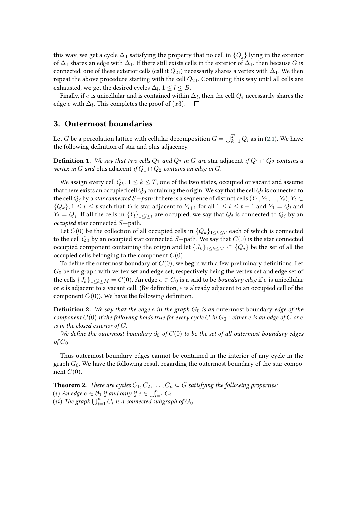this way, we get a cycle  $\Delta_1$  satisfying the property that no cell in  $\{Q_i\}$  lying in the exterior of  $\Delta_1$  shares an edge with  $\Delta_1$ . If there still exists cells in the exterior of  $\Delta_1$ , then because G is connected, one of these exterior cells (call it  $Q_{21}$ ) necessarily shares a vertex with  $\Delta_1$ . We then repeat the above procedure starting with the cell  $Q_{21}$ . Continuing this way until all cells are exhausted, we get the desired cycles  $\Delta_l, 1 \leq l \leq B$ .

Finally, if  $e$  is unicellular and is contained within  $\Delta_l,$  then the cell  $Q_e$  necessarily shares the edge  $e$  with  $\Delta_l$ . This completes the proof of  $(x3)$ .

### <span id="page-4-0"></span>**3. Outermost boundaries**

Let  $G$  be a percolation lattice with cellular decomposition  $G = \bigcup_{k=1}^T Q_i$  as in [\(2.1\)](#page-1-2). We have the following definition of star and plus adjacency.

**Definition 1.** We say that two cells  $Q_1$  and  $Q_2$  in G are star adjacent if  $Q_1 \cap Q_2$  contains a *vertex in G* and plus adjacent *if*  $Q_1 \cap Q_2$  *contains an edge in G.* 

We assign every cell  $Q_k$ ,  $1 \leq k \leq T$ , one of the two states, occupied or vacant and assume that there exists an occupied cell  $Q_0$  containing the origin. We say that the cell  $Q_i$  is connected to the cell  $Q_j$  by a *star connected*  $S$ −*path* if there is a sequence of distinct cells  $(Y_1, Y_2, ..., Y_t), Y_l \subset$  ${Q_k}, 1 \leq l \leq t$  such that  $Y_l$  is star adjacent to  $Y_{l+1}$  for all  $1 \leq l \leq t-1$  and  $Y_1 = Q_i$  and  $Y_t = Q_j.$  If all the cells in  $\{Y_t\}_{1\leq l\leq t}$  are occupied, we say that  $Q_i$  is connected to  $Q_j$  by an *occupied* star connected S-path.

Let  $C(0)$  be the collection of all occupied cells in  ${Q_k}_{1\leq k\leq T}$  each of which is connected to the cell  $Q_0$  by an occupied star connected  $S$ −path. We say that  $C(0)$  is the star connected occupied component containing the origin and let  ${J_k}_{1\leq k\leq M} \subset {Q_i}$  be the set of all the occupied cells belonging to the component  $C(0)$ .

To define the outermost boundary of  $C(0)$ , we begin with a few preliminary definitions. Let  $G_0$  be the graph with vertex set and edge set, respectively being the vertex set and edge set of the cells  ${J_k}_{1\leq k\leq M} = C(0)$ . An edge  $e \in G_0$  is a said to be *boundary edge* if e is unicellular or  $e$  is adjacent to a vacant cell. (By definition,  $e$  is already adjacent to an occupied cell of the component  $C(0)$ ). We have the following definition.

<span id="page-4-2"></span>**Definition 2.** We say that the edge  $e$  in the graph  $G_0$  is an outermost boundary edge of the *component*  $C(0)$  *if the following holds true for every cycle*  $C$  *in*  $G_0$  : *either*  $e$  *is an edge of*  $C$  *or*  $e$ *is in the closed exterior of*  $C$ *.* 

*We define the outermost boundary*  $\partial_0$  *of*  $C(0)$  *to be the set of all outermost boundary edges*  $\sigma$ *f*  $G_0$ .

Thus outermost boundary edges cannot be contained in the interior of any cycle in the graph  $G_0$ . We have the following result regarding the outermost boundary of the star component  $C(0)$ .

<span id="page-4-1"></span>**Theorem 2.** *There are cycles*  $C_1, C_2, \ldots, C_n \subseteq G$  *satisfying the following properties:* (*i*) *An edge*  $e \in \partial_0$  *if and only if*  $e \in \bigcup_{i=1}^n C_i$ .  $(iii)$  The graph  $\bigcup_{i=1}^n C_i$  is a connected subgraph of  $G_0$ .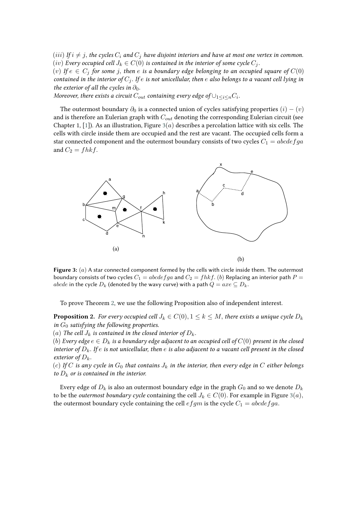(*iii*) If  $i \neq j$ , the cycles  $C_i$  and  $C_j$  have disjoint interiors and have at most one vertex in common. (*iv*) *Every occupied cell*  $J_k \in C(0)$  *is contained in the interior of some cycle*  $C_i$ .

(v) If  $e \in C_i$  for some j, then e is a boundary edge belonging to an occupied square of  $C(0)$ *contained in the interior of*  $C_j$ . If  $e$  is not unicellular, then  $e$  also belongs to a vacant cell lying in *the exterior of all the cycles in*  $\partial_0$ *.* 

*Moreover, there exists a circuit*  $C_{out}$  containing every edge of  $\cup_{1\leq i\leq n}C_i$ .

The outermost boundary  $\partial_0$  is a connected union of cycles satisfying properties  $(i) - (v)$ and is therefore an Eulerian graph with  $C_{out}$  denoting the corresponding Eulerian circuit (see Chapter 1, [\[1\]](#page-19-5)). As an illustration, Figure  $3(a)$  $3(a)$  describes a percolation lattice with six cells. The cells with circle inside them are occupied and the rest are vacant. The occupied cells form a star connected component and the outermost boundary consists of two cycles  $C_1 = abcdefga$ and  $C_2 = fhkf$ .

<span id="page-5-0"></span>

**Figure 3:** (a) A star connected component formed by the cells with circle inside them. The outermost boundary consists of two cycles  $C_1 = abcdefga$  and  $C_2 = fhkf.$  (b) Replacing an interior path  $P =$ abcde in the cycle  $D_k$  (denoted by the wavy curve) with a path  $Q = axe \subseteq D_k$ .

To prove Theorem [2,](#page-4-1) we use the following Proposition also of independent interest.

<span id="page-5-1"></span>**Proposition 2.** *For every occupied cell*  $J_k \in C(0), 1 \leq k \leq M$ , there exists a unique cycle  $D_k$ *in*  $G_0$  *satisfying the following properties.* 

(a) The cell  $J_k$  is contained in the closed interior of  $D_k$ .

(b) Every edge  $e \in D_k$  is a boundary edge adjacent to an occupied cell of  $C(0)$  present in the closed *interior of*  $D_k$ . If  $e$  is not unicellular, then  $e$  is also adjacent to a vacant cell present in the closed *exterior of*  $D_k$ .

(c) If C is any cycle in  $G_0$  that contains  $J_k$  in the interior, then every edge in C either belongs *to*  $D_k$  *or is contained in the interior.* 

Every edge of  $D_k$  is also an outermost boundary edge in the graph  $G_0$  and so we denote  $D_k$ to be the *outermost boundary cycle* containing the cell  $J_k \in C(0)$ . For example in Figure [3](#page-5-0)(*a*), the outermost boundary cycle containing the cell  $efgm$  is the cycle  $C_1 = abcdefga$ .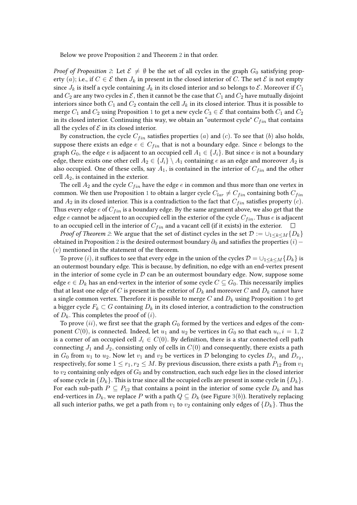Below we prove Proposition [2](#page-5-1) and Theorem [2](#page-4-1) in that order.

*Proof of Proposition* [2](#page-5-1): Let  $\mathcal{E} \neq \emptyset$  be the set of all cycles in the graph  $G_0$  satisfying property (a); i.e., if  $C \in \mathcal{E}$  then  $J_k$  in present in the closed interior of C. The set  $\mathcal{E}$  is not empty since  $J_k$  is itself a cycle containing  $J_k$  in its closed interior and so belongs to  $\mathcal E$ . Moreover if  $C_1$ and  $C_2$  are any two cycles in  $\mathcal E$ , then it cannot be the case that  $C_1$  and  $C_2$  have mutually disjoint interiors since both  $C_1$  and  $C_2$  contain the cell  $J_k$  in its closed interior. Thus it is possible to merge  $C_1$  $C_1$  and  $C_2$  using Proposition 1 to get a new cycle  $C_3 \in \mathcal{E}$  that contains both  $C_1$  and  $C_2$ in its closed interior. Continuing this way, we obtain an "outermost cycle"  $C_{fin}$  that contains all the cycles of  $\mathcal E$  in its closed interior.

By construction, the cycle  $C_{fin}$  satisfies properties (a) and (c). To see that (b) also holds, suppose there exists an edge  $e \in C_{fin}$  that is not a boundary edge. Since e belongs to the graph  $G_0$ , the edge  $e$  is adjacent to an occupied cell  $A_1 \in \{J_i\}$ . But since  $e$  is not a boundary edge, there exists one other cell  $A_2 \in \{J_i\} \setminus A_1$  containing *e* as an edge and moreover  $A_2$  is also occupied. One of these cells, say  $A_1$ , is contained in the interior of  $C_{fin}$  and the other cell  $A_2$ , is contained in the exterior.

The cell  $A_2$  and the cycle  $C_{fin}$  have the edge  $e$  in common and thus more than one vertex in common. We then use Proposition [1](#page-2-1) to obtain a larger cycle  $C_{lar} \neq C_{fin}$  containing both  $C_{fin}$ and  $A_2$  in its closed interior. This is a contradiction to the fact that  $C_{fin}$  satisfies property (c). Thus every edge  $e$  of  $C_{fin}$  is a boundary edge. By the same argument above, we also get that the edge  $e$  cannot be adjacent to an occupied cell in the exterior of the cycle  $C_{fin}$ . Thus  $e$  is adjacent to an occupied cell in the interior of  $C_{fin}$  and a vacant cell (if it exists) in the exterior.  $\Box$ 

*Proof of Theorem [2](#page-4-1)*: We argue that the set of distinct cycles in the set  $\mathcal{D} := \bigcup_{1 \leq k \leq M} \{D_k\}$ obtained in Proposition [2](#page-5-1) is the desired outermost boundary  $\partial_0$  and satisfies the properties  $(i)$  –  $(v)$  mentioned in the statement of the theorem.

To prove (i), it suffices to see that every edge in the union of the cycles  $\mathcal{D} = \bigcup_{1 \leq k \leq M} \{D_k\}$  is an outermost boundary edge. This is because, by definition, no edge with an end-vertex present in the interior of some cycle in  $D$  can be an outermost boundary edge. Now, suppose some edge  $e \in D_k$  has an end-vertex in the interior of some cycle  $C \subseteq G_0$ . This necessarily implies that at least one edge of C is present in the exterior of  $D_k$  and moreover C and  $D_k$  cannot have a single common vertex. Therefore it is possible to merge C and  $D_k$  using Proposition [1](#page-2-1) to get a bigger cycle  $F_k \subset G$  containing  $D_k$  in its closed interior, a contradiction to the construction of  $D_k$ . This completes the proof of  $(i)$ .

To prove  $(ii)$ , we first see that the graph  $G_0$  formed by the vertices and edges of the component  $C(0),$  is connected. Indeed, let  $u_1$  and  $u_2$  be vertices in  $G_0$  so that each  $u_i, i=1,2$ is a corner of an occupied cell  $J_i \in C(0)$ . By definition, there is a star connected cell path connecting  $J_1$  and  $J_2$ , consisting only of cells in  $C(0)$  and consequently, there exists a path in  $G_0$  from  $u_1$  to  $u_2$ . Now let  $v_1$  and  $v_2$  be vertices in  $\mathcal D$  belonging to cycles  $D_{r_1}$  and  $D_{r_2}$ , respectively, for some  $1 \le r_1, r_2 \le M$ . By previous discussion, there exists a path  $P_{12}$  from  $v_1$ to  $v_2$  containing only edges of  $G_0$  and by construction, each such edge lies in the closed interior of some cycle in  ${D_k}$ . This is true since all the occupied cells are present in some cycle in  ${D_k}$ . For each sub-path  $P \subseteq P_{12}$  that contains a point in the interior of some cycle  $D_k$  and has end-vertices in  $D_k$ , we replace P with a path  $Q \subseteq D_k$  (see Figure [3](#page-5-0)(b)). Iteratively replacing all such interior paths, we get a path from  $v_1$  to  $v_2$  containing only edges of  $\{D_k\}$ . Thus the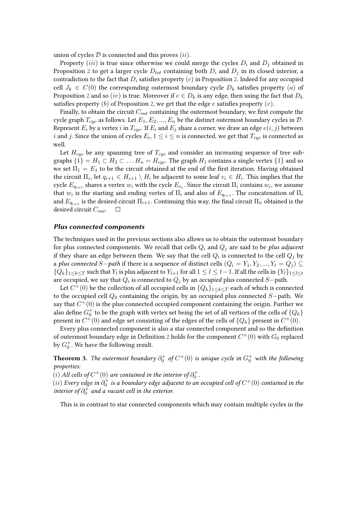union of cycles  $D$  is connected and this proves  $(ii)$ .

Property *(iii)* is true since otherwise we could merge the cycles  $D_i$  and  $D_j$  obtained in Proposition [2](#page-5-1) to get a larger cycle  $D_{tot}$  containing both  $D_i$  and  $D_j$  in its closed interior, a contradiction to the fact that  $D_i$  satisfies property (c) in Proposition [2.](#page-5-1) Indeed for any occupied cell  $J_k \in C(0)$  the corresponding outermost boundary cycle  $D_k$  satisfies property  $(a)$  of Proposition [2](#page-5-1) and so (iv) is true. Moreover if  $e \in D_k$  is any edge, then using the fact that  $D_k$ satisfies property (b) of Proposition [2,](#page-5-1) we get that the edge  $e$  satisfies property (v).

Finally, to obtain the circuit  $C_{out}$  containing the outermost boundary, we first compute the cycle graph  $T_{cyc}$  as follows. Let  $E_1, E_2, ..., E_n$  be the distinct outermost boundary cycles in  $\mathcal{D}$ . Represent  $E_i$  by a vertex i in  $T_{cuc}$ . If  $E_i$  and  $E_j$  share a corner, we draw an edge  $e(i, j)$  between  $i$  and  $j.$  Since the union of cycles  $E_i, 1 \leq i \leq n$  is connected, we get that  $T_{cyc}$  is connected as well.

Let  $H_{cyc}$  be any spanning tree of  $T_{cyc}$  and consider an increasing sequence of tree subgraphs  $\{1\} = H_1 \subset H_2 \subset \ldots H_n = H_{cyc}$ . The graph  $H_1$  contains a single vertex  $\{1\}$  and so we set  $\Pi_1 = E_1$  to be the circuit obtained at the end of the first iteration. Having obtained the circuit  $\Pi_i,$  let  $q_{i+1}\in H_{i+1}\setminus H_i$  be adjacent to some leaf  $v_i\in H_i.$  This implies that the cycle  $E_{q_{i+1}}$  shares a vertex  $w_i$  with the cycle  $E_{v_i}$ . Since the circuit  $\Pi_i$  contains  $w_i$ , we assume that  $w_i$  is the starting and ending vertex of  $\Pi_i$  and also of  $E_{q_{i+1}}.$  The concatenation of  $\Pi_i$ and  $E_{q_{i+1}}$  is the desired circuit  $\Pi_{i+1}$ . Continuing this way, the final circuit  $\Pi_n$  obtained is the desired circuit  $C_{out}$ .  $\Box$ 

#### **Plus connected components**

The techniques used in the previous sections also allows us to obtain the outermost boundary for plus connected components. We recall that cells  $Q_i$  and  $Q_j$  are said to be *plus adjacent* if they share an edge between them. We say that the cell  $Q_i$  is connected to the cell  $Q_j$  by a *plus connected*  $S$ −*path* if there is a sequence of distinct cells  $(Q_i = Y_1, Y_2, ..., Y_t = Q_j)$  ${Q_k}_{1\leq k\leq T}$  such that  $Y_l$  is plus adjacent to  $Y_{l+1}$  for all  $1\leq l\leq t-1$ . If all the cells in  ${Y_l}_{1\leq l\leq t}$ are occupied, we say that  $Q_i$  is connected to  $Q_j$  by an *occupied* plus connected  $S\mathrm{-path.}$ 

Let  $C^+(0)$  be the collection of all occupied cells in  $\{Q_k\}_{1\leq k\leq T}$  each of which is connected to the occupied cell  $Q_0$  containing the origin, by an occupied plus connected  $S$ -path. We say that  $C^+(0)$  is the plus connected occupied component containing the origin. Further we also define  $G_0^+$  to be the graph with vertex set being the set of all vertices of the cells of  $\{Q_k\}$ present in  $C^{+}(0)$  and edge set consisting of the edges of the cells of  $\{Q_k\}$  present in  $C^{+}(0).$ 

Every plus connected component is also a star connected component and so the definition of outermost boundary edge in Definition [2](#page-4-2) holds for the component  $C^{+}(0)$  with  $G_{0}$  replaced by  $G_0^+$ . We have the following result.

<span id="page-7-0"></span>**Theorem 3.** *The outermost boundary*  $\partial_0^+$  of  $C^+(0)$  *is unique cycle in*  $G_0^+$  *with the following properties:*

 $(i)$  All cells of  $C^+(0)$  are contained in the interior of  $\partial_0^+$ .

 $(ii)$  Every edge in  $\partial_0^+$  is a boundary edge adjacent to an occupied cell of  $C^+(0)$  contained in the *interior of*  $\partial_0^+$  and a vacant cell in the exterior.

This is in contrast to star connected components which may contain multiple cycles in the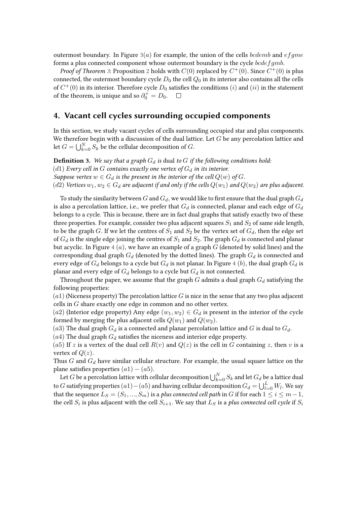outermost boundary. In Figure  $3(a)$  $3(a)$  for example, the union of the cells *bcdemb* and *ef qme* forms a plus connected component whose outermost boundary is the cycle  $bcdefgmb$ .

*Proof of Theorem [3](#page-7-0)*: Proposition [2](#page-5-1) holds with  $C(0)$  replaced by  $C^+(0)$ . Since  $C^+(0)$  is plus connected, the outermost boundary cycle  $D_0$  the cell  $Q_0$  in its interior also contains all the cells of  $C^{+}(0)$  in its interior. Therefore cycle  $D_{0}$  satisfies the conditions  $\left( i\right)$  and  $\left( ii\right)$  in the statement of the theorem, is unique and so  $\partial_0^+=D_0$ .  $\Box$ 

### <span id="page-8-0"></span>**4. Vacant cell cycles surrounding occupied components**

In this section, we study vacant cycles of cells surrounding occupied star and plus components. We therefore begin with a discussion of the dual lattice. Let  $G$  be any percolation lattice and let  $G = \bigcup_{k=0}^{N} S_k$  be the cellular decomposition of  $G$ .

**Definition 3.** We say that a graph  $G_d$  is dual to  $G$  if the following conditions hold: (d1) *Every cell in*  $G$  contains exactly one vertex of  $G_d$  in its interior. *Suppose vertex*  $w \in G_d$  *is the present in the interior of the cell*  $Q(w)$  *of*  $G$ . (d2) *Vertices*  $w_1, w_2 \in G_d$  are adjacent if and only if the cells  $Q(w_1)$  and  $Q(w_2)$  are plus adjacent.

To study the similarity between G and  $G_d$ , we would like to first ensure that the dual graph  $G_d$ is also a percolation lattice, i.e., we prefer that  $G_d$  is connected, planar and each edge of  $G_d$ belongs to a cycle. This is because, there are in fact dual graphs that satisfy exactly two of these three properties. For example, consider two plus adjacent squares  $S_1$  and  $S_2$  of same side length, to be the graph G. If we let the centres of  $S_1$  and  $S_2$  be the vertex set of  $G_d$ , then the edge set of  $G_d$  is the single edge joining the centres of  $S_1$  and  $S_2$ . The graph  $G_d$  is connected and planar but acyclic. In Figure [4](#page-9-0)  $(a)$ , we have an example of a graph  $G$  (denoted by solid lines) and the corresponding dual graph  $G_d$  (denoted by the dotted lines). The graph  $G_d$  is connected and every edge of  $G_d$  belongs to a cycle but  $G_d$  is not planar. In Figure [4](#page-9-0) (b), the dual graph  $G_d$  is planar and every edge of  $G_d$  belongs to a cycle but  $G_d$  is not connected.

Throughout the paper, we assume that the graph  $G$  admits a dual graph  $G_d$  satisfying the following properties:

 $(a_1)$  (Niceness property) The percolation lattice G is nice in the sense that any two plus adjacent cells in  $G$  share exactly one edge in common and no other vertex.

(a2) (Interior edge property) Any edge  $(w_1, w_2) \in G_d$  is present in the interior of the cycle formed by merging the plus adjacent cells  $Q(w_1)$  and  $Q(w_2)$ .

(a3) The dual graph  $G_d$  is a connected and planar percolation lattice and  $G$  is dual to  $G_d$ .

 $(a4)$  The dual graph  $G_d$  satisfies the niceness and interior edge property.

(a5) If z is a vertex of the dual cell  $R(v)$  and  $Q(z)$  is the cell in G containing z, then v is a vertex of  $Q(z)$ .

Thus  $G$  and  $G_d$  have similar cellular structure. For example, the usual square lattice on the plane satisfies properties  $(a1) - (a5)$ .

Let  $G$  be a percolation lattice with cellular decomposition  $\bigcup_{k=0}^N S_k$  and let  $G_d$  be a lattice dual to  $G$  satisfying properties  $(a1) - (a5)$  and having cellular decomposition  $G_d = \bigcup_{l=0}^L W_l.$  We say that the sequence  $L_S = (S_1, ..., S_m)$  is a *plus connected cell path* in G if for each  $1 \le i \le m-1$ , the cell  $S_i$  is plus adjacent with the cell  $S_{i+1}.$  We say that  $L_S$  is a *plus connected cell cycle* if  $S_i$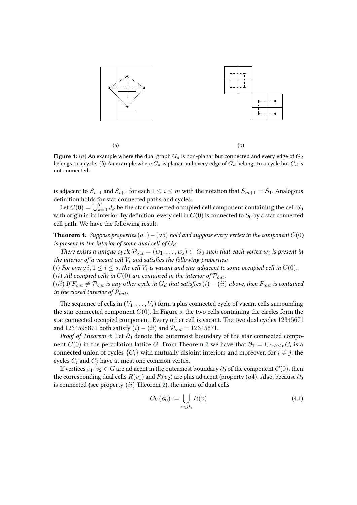<span id="page-9-0"></span>

**Figure 4:** (a) An example where the dual graph  $G_d$  is non-planar but connected and every edge of  $G_d$ belongs to a cycle.  $(b)$  An example where  $G_d$  is planar and every edge of  $G_d$  belongs to a cycle but  $G_d$  is not connected.

is adjacent to  $S_{i-1}$  and  $S_{i+1}$  for each  $1 \leq i \leq m$  with the notation that  $S_{m+1} = S_1$ . Analogous definition holds for star connected paths and cycles.

Let  $C(0) = \bigcup_{k=0}^{T} J_k$  be the star connected occupied cell component containing the cell  $S_0$ with origin in its interior. By definition, every cell in  $C(0)$  is connected to  $S_0$  by a star connected cell path. We have the following result.

<span id="page-9-1"></span>**Theorem 4.** *Suppose properties*  $(a1) - (a5)$  *hold and suppose every vertex in the component*  $C(0)$ *is present in the interior of some dual cell of*  $G_d$ .

*There exists a unique cycle*  $\mathcal{P}_{out} = (w_1, \ldots, w_s) \subset G_d$  such that each vertex  $w_i$  is present in *the interior of a vacant cell*  $V_i$  *and satisfies the following properties:* 

 $(i)$  For every  $i, 1 \leq i \leq s,$  the cell  $V_i$  is vacant and star adjacent to some occupied cell in  $C(0).$ 

 $(ii)$  *All occupied cells in*  $C(0)$  *are contained in the interior of*  $\mathcal{P}_{out}$ .

 $(iii)$  *If*  $F_{out} \neq P_{out}$  is any other cycle in  $G_d$  that satisfies  $(i) - (ii)$  above, then  $F_{out}$  is contained *in the closed interior of*  $P_{out}$ .

The sequence of cells in  $(V_1, \ldots, V_s)$  form a plus connected cycle of vacant cells surrounding the star connected component  $C(0)$ . In Figure [5,](#page-10-0) the two cells containing the circles form the star connected occupied component. Every other cell is vacant. The two dual cycles 12345671 and 1234598671 both satisfy  $(i) - (ii)$  and  $P_{out} = 12345671$ .

*Proof of Theorem [4](#page-9-1)*: Let  $\partial_0$  denote the outermost boundary of the star connected component  $C(0)$  in the percolation lattice  $G.$  From Theorem [2](#page-4-1) we have that  $\partial_0 = \cup_{1 \leq i \leq n} C_i$  is a connected union of cycles  ${C_i}$  with mutually disjoint interiors and moreover, for  $i \neq j$ , the cycles  $C_i$  and  $C_j$  have at most one common vertex.

If vertices  $v_1, v_2 \in G$  are adjacent in the outermost boundary  $\partial_0$  of the component  $C(0)$ , then the corresponding dual cells  $R(v_1)$  and  $R(v_2)$  are plus adjacent (property (a4). Also, because  $\partial_0$ is connected (see property  $(ii)$  Theorem [2\)](#page-4-1), the union of dual cells

$$
C_V(\partial_0) := \bigcup_{v \in \partial_0} R(v) \tag{4.1}
$$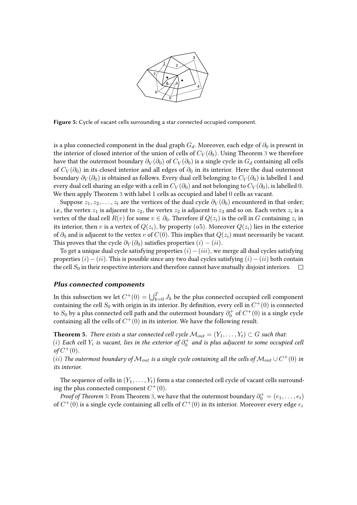

<span id="page-10-0"></span>**Figure 5:** Cycle of vacant cells surrounding a star connected occupied component.

is a plus connected component in the dual graph  $G_d$ . Moreover, each edge of  $\partial_0$  is present in the interior of closed interior of the union of cells of  $C_V(\partial_0)$ . Using Theorem [3](#page-7-0) we therefore have that the outermost boundary  $\partial_V(\partial_0)$  of  $C_V(\partial_0)$  is a single cycle in  $G_d$  containing all cells of  $C_V(\partial_0)$  in its closed interior and all edges of  $\partial_0$  in its interior. Here the dual outermost boundary  $\partial_V(\partial_0)$  is obtained as follows. Every dual cell belonging to  $C_V(\partial_0)$  is labelled 1 and every dual cell sharing an edge with a cell in  $C_V(\partial_0)$  and not belonging to  $C_V(\partial_0)$ , is labelled 0. We then apply Theorem [3](#page-7-0) with label 1 cells as occupied and label 0 cells as vacant.

Suppose  $z_1, z_2, \ldots, z_t$  are the vertices of the dual cycle  $\partial_V(\partial_0)$  encountered in that order; i.e., the vertex  $z_1$  is adjacent to  $z_2$ , the vertex  $z_2$  is adjacent to  $z_3$  and so on. Each vertex  $z_i$  is a vertex of the dual cell  $R(v)$  for some  $v \in \partial_0.$  Therefore if  $Q(z_i)$  is the cell in  $G$  containing  $z_i$  in its interior, then v is a vertex of  $Q(z_i)$ , by property (a5). Moreover  $Q(z_i)$  lies in the exterior of  $\partial_0$  and is adjacent to the vertex v of  $C(0)$ . This implies that  $Q(z_i)$  must necessarily be vacant. This proves that the cycle  $\partial_V(\partial_0)$  satisfies properties  $(i) - (ii)$ .

To get a unique dual cycle satisfying properties  $(i)-(iii)$ , we merge all dual cycles satisfying properties  $(i) - (ii)$ . This is possible since any two dual cycles satisfying  $(i) - (ii)$  both contain the cell  $S_0$  in their respective interiors and therefore cannot have mutually disjoint interiors.  $\Box$ 

#### **Plus connected components**

In this subsection we let  $C^+(0) = \bigcup_{k=0}^T J_k$  be the plus connected occupied cell component containing the cell  $S_0$  with origin in its interior. By definition, every cell in  $C^+(0)$  is connected to  $S_0$  by a plus connected cell path and the outermost boundary  $\partial_0^+$  of  $C^+(0)$  is a single cycle containing all the cells of  $C^+(0)$  in its interior. We have the following result.

<span id="page-10-1"></span>**Theorem 5.** *There exists a star connected cell cycle*  $M_{out} = (Y_1, \ldots, Y_t) \subset G$  such that:

 $(i)$  Each cell  $Y_i$  is vacant, lies in the exterior of  $\partial_0^+$  and is plus adjacent to some occupied cell  $of C^{+}(0)$ .

 $(iii)$  The outermost boundary of  $\mathcal{M}_{out}$  is a single cycle containing all the cells of  $\mathcal{M}_{out} \cup C^+(0)$  in *its interior.*

The sequence of cells in  $(Y_1, \ldots, Y_t)$  form a star connected cell cycle of vacant cells surrounding the plus connected component  $C^+(0)$ .

*Proof of Theorem [5](#page-10-1)*: From Theorem [3,](#page-7-0) we have that the outermost boundary  $\partial_0^+ = (e_1, \ldots, e_t)$ of  $C^{+}(0)$  is a single cycle containing all cells of  $C^{+}(0)$  in its interior. Moreover every edge  $e_i$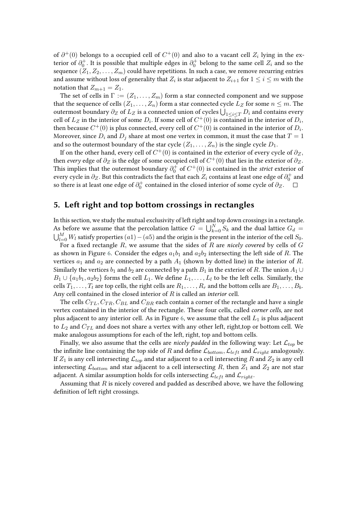of  $\partial^+(0)$  belongs to a occupied cell of  $C^+(0)$  and also to a vacant cell  $Z_i$  lying in the exterior of  $\partial_0^+$ . It is possible that multiple edges in  $\partial_0^+$  belong to the same cell  $Z_i$  and so the sequence  $(Z_1, Z_2, \ldots, Z_m)$  could have repetitions. In such a case, we remove recurring entries and assume without loss of generality that  $Z_i$  is star adjacent to  $Z_{i+1}$  for  $1 \leq i \leq m$  with the notation that  $Z_{m+1} = Z_1$ .

The set of cells in  $\Gamma := (Z_1, \ldots, Z_m)$  form a star connected component and we suppose that the sequence of cells  $(Z_1, \ldots, Z_n)$  form a star connected cycle  $L_Z$  for some  $n \leq m$ . The outermost boundary  $\partial_Z$  of  $L_Z$  is a connected union of cycles  $\bigcup_{1\leq i\leq T} D_i$  and contains every cell of  $L_Z$  in the interior of some  $D_i$ . If some cell of  $C^+(0)$  is contained in the interior of  $D_i$ , then because  $C^+(0)$  is plus connected, every cell of  $C^+(0)$  is contained in the interior of  $D_i.$ Moreover, since  $D_i$  and  $D_j$  share at most one vertex in common, it must the case that  $T = 1$ and so the outermost boundary of the star cycle  $(Z_1, \ldots, Z_n)$  is the single cycle  $D_1$ .

If on the other hand, every cell of  $C^+(0)$  is contained in the exterior of every cycle of  $\partial_Z,$ then *every* edge of  $\partial_Z$  is the edge of some occupied cell of  $C^+(0)$  that lies in the exterior of  $\partial_Z.$ This implies that the outermost boundary  $\partial_0^+$  of  $C^+(0)$  is contained in the *strict* exterior of every cycle in  $\partial_Z.$  But this contradicts the fact that each  $Z_i$  contains at least one edge of  $\partial_0^+$  and so there is at least one edge of  $\partial_0^+$  contained in the closed interior of some cycle of  $\partial_Z.$ 

### <span id="page-11-0"></span>**5. Left right and top bottom crossings in rectangles**

In this section, we study the mutual exclusivity of left right and top down crossings in a rectangle. As before we assume that the percolation lattice  $G = \bigcup_{k=0}^{N} S_k$  and the dual lattice  $G_d$  $\bigcup_{l=0}^M W_l$  satisfy properties  $(a1)-(a5)$  and the origin is the present in the interior of the cell  $S_0.$ 

For a fixed rectangle  $R$ , we assume that the sides of  $R$  are *nicely covered* by cells of  $G$ as shown in Figure [6.](#page-12-0) Consider the edges  $a_1b_1$  and  $a_2b_2$  intersecting the left side of R. The vertices  $a_1$  and  $a_2$  are connected by a path  $A_1$  (shown by dotted line) in the interior of R. Similarly the vertices  $b_1$  and  $b_2$  are connected by a path  $B_1$  in the exterior of R. The union  $A_1 \cup$  $B_1 \cup \{a_1b_1, a_2b_2\}$  forms the cell  $L_1$ . We define  $L_1, \ldots, L_l$  to be the left cells. Similarly, the cells  $T_1, \ldots, T_t$  are top cells, the right cells are  $R_1, \ldots, R_r$  and the bottom cells are  $B_1, \ldots, B_b$ . Any cell contained in the closed interior of R is called an *interior* cell.

The cells  $C_{TL}, C_{TR}, C_{BL}$  and  $C_{BR}$  each contain a corner of the rectangle and have a single vertex contained in the interior of the rectangle. These four cells, called *corner cells*, are not plus adjacent to any interior cell. As in Figure [6,](#page-12-0) we assume that the cell  $L_1$  is plus adjacent to  $L_2$  and  $C_{TL}$  and does not share a vertex with any other left, right,top or bottom cell. We make analogous assumptions for each of the left, right, top and bottom cells.

Finally, we also assume that the cells are *nicely padded* in the following way: Let  $\mathcal{L}_{top}$  be the infinite line containing the top side of R and define  $\mathcal{L}_{bottom}$ ,  $\mathcal{L}_{left}$  and  $\mathcal{L}_{right}$  analogously. If  $Z_1$  is any cell intersecting  $\mathcal{L}_{top}$  and star adjacent to a cell intersecting R and  $Z_2$  is any cell intersecting  $\mathcal{L}_{bottom}$  and star adjacent to a cell intersecting R, then  $Z_1$  and  $Z_2$  are not star adjacent. A similar assumption holds for cells intersecting  $\mathcal{L}_{left}$  and  $\mathcal{L}_{right}$ .

Assuming that  $R$  is nicely covered and padded as described above, we have the following definition of left right crossings.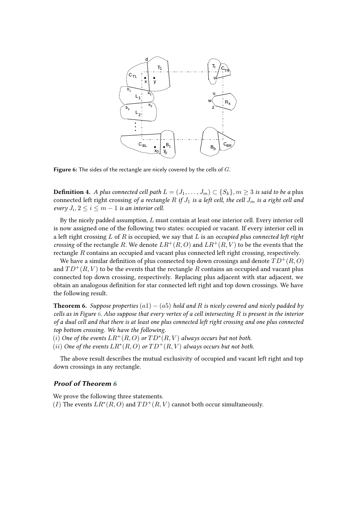<span id="page-12-0"></span>

**Figure 6:** The sides of the rectangle are nicely covered by the cells of G.

<span id="page-12-2"></span>**Definition 4.** *A plus connected cell path*  $L = (J_1, \ldots, J_m) \subset \{S_k\}, m \geq 3$  *is said to be a plus* connected left right crossing of a rectangle R if  $J_1$  is a left cell, the cell  $J_m$  is a right cell and  $\text{every } J_i, 2 \leq i \leq m-1$  is an interior cell.

By the nicely padded assumption,  $L$  must contain at least one interior cell. Every interior cell is now assigned one of the following two states: occupied or vacant. If every interior cell in a left right crossing  $L$  of  $R$  is occupied, we say that  $L$  is an *occupied plus connected left right crossing* of the rectangle R. We denote  $LR^+(R, O)$  and  $LR^+(R, V)$  to be the events that the rectangle  $R$  contains an occupied and vacant plus connected left right crossing, respectively.

We have a similar definition of plus connected top down crossings and denote  $TD^+(R, O)$ and  $TD^+(R, V)$  to be the events that the rectangle R contains an occupied and vacant plus connected top down crossing, respectively. Replacing plus adjacent with star adjacent, we obtain an analogous definition for star connected left right and top down crossings. We have the following result.

<span id="page-12-1"></span>**Theorem 6.** *Suppose properties*  $(a1) - (a5)$  *hold and R* is nicely covered and nicely padded by *cells as in Figure [6.](#page-12-0) Also suppose that every vertex of a cell intersecting is present in the interior of a dual cell and that there is at least one plus connected left right crossing and one plus connected top bottom crossing. We have the following.*

 $(i)$  *One of the events*  $LR^+(R, O)$  *or*  $TD^*(R, V)$  *always occurs but not both.* 

 $(ii)$  One of the events  $LR^*(R, O)$  or  $TD^+(R, V)$  always occurs but not both.

The above result describes the mutual exclusivity of occupied and vacant left right and top down crossings in any rectangle.

#### **Proof of Theorem [6](#page-12-1)**

We prove the following three statements.

(I) The events  $LR^*(R, O)$  and  $TD^+(R, V)$  cannot both occur simultaneously.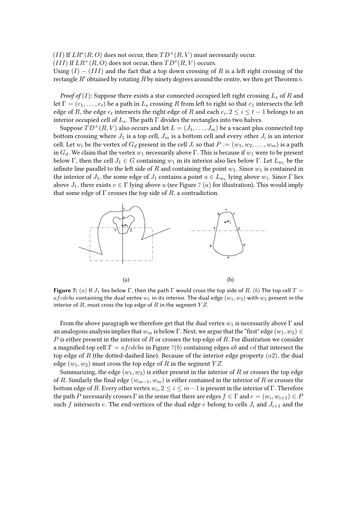$(II)$  If  $LR^*(R, O)$  does not occur, then  $TD^+(R, V)$  must necessarily occur.

(III) If  $LR^+(R, O)$  does not occur, then  $TD^*(R, V)$  occurs.

Using  $(I) - (III)$  and the fact that a top down crossing of R is a left right crossing of the rectangle  $R'$  obtained by rotating  $R$  by ninety degrees around the centre, we then get Theorem [6.](#page-12-1)

*Proof of* (*I*): Suppose there exists a star connected occupied left right crossing  $L_s$  of R and let  $\Gamma = (e_1, \ldots, e_t)$  be a path in  $L_s$  crossing R from left to right so that  $e_1$  intersects the left edge of R, the edge  $e_t$  intersects the right edge of R and each  $e_i, 2 \leq i \leq t-1$  belongs to an interior occupied cell of  $L_s$ . The path  $\Gamma$  divides the rectangles into two halves.

Suppose  $TD^+(R, V)$  also occurs and let  $L = (J_1, \ldots, J_m)$  be a vacant plus connected top bottom crossing where  $J_1$  is a top cell,  $J_m$  is a bottom cell and every other  $J_i$  is an interior cell. Let  $w_i$  be the vertex of  $G_d$  present in the cell  $J_i$  so that  $P := (w_1, w_2, \dots, w_m)$  is a path in  $G_d$ . We claim that the vertex  $w_1$  necessarily above Γ. This is because if  $w_1$  were to be present below Γ, then the cell  $J_1 \in G$  containing  $w_1$  in its interior also lies below Γ. Let  $L_{w_1}$  be the infinite line parallel to the left side of  $R$  and containing the point  $w_1$ . Since  $w_1$  is contained in the interior of  $J_1$ , the some edge of  $J_1$  contains a point  $u \in L_{w_1}$  lying above  $w_1$ . Since  $\Gamma$  lies above  $J_1$ , there exists  $v \in \Gamma$  lying above u (see Figure [7](#page-13-0) (a) for illustration). This would imply that some edge of  $\Gamma$  crosses the top side of  $R$ , a contradiction.

<span id="page-13-0"></span>

**Figure** 7: (a) If  $J_1$  lies below  $\Gamma$ , then the path  $\Gamma$  would cross the top side of R. (b) The top cell  $T =$ a f cdeba containing the dual vertex  $w_1$  in its interior. The dual edge  $(w_1, w_2)$  with  $w_2$  present in the interior of  $R$ , must cross the top edge of  $R$  in the segment  $YZ$ .

From the above paragraph we therefore get that the dual vertex  $w_1$  is necessarily above  $\Gamma$  and an analogous analysis implies that  $w_m$  is below Γ. Next, we argue that the "first" edge  $(w_1, w_2) \in$ P is either present in the interior of R or crosses the top edge of R. For illustration we consider a magnified top cell  $T = afcdeba$  in Figure [7](#page-13-0)(b) containing edges ab and cd that intersect the top edge of R (the dotted-dashed line). Because of the interior edge property  $(a2)$ , the dual edge  $(w_1, w_2)$  must cross the top edge of R in the segment  $YZ$ .

Summarizing, the edge  $(w_1, w_2)$  is either present in the interior of R or crosses the top edge of R. Similarly the final edge  $(w_{m-1}, w_m)$  is either contained in the interior of R or crosses the bottom edge of  $R.$  Every other vertex  $w_i, 2 \leq i \leq m-1$  is present in the interior of  $\Gamma.$  Therefore the path  $P$  necessarily crosses  $\Gamma$  in the sense that there are edges  $f\in \Gamma$  and  $e=(w_i,w_{i+1})\in P$ such f intersects e. The end-vertices of the dual edge e belong to cells  $J_i$  and  $J_{i+1}$  and the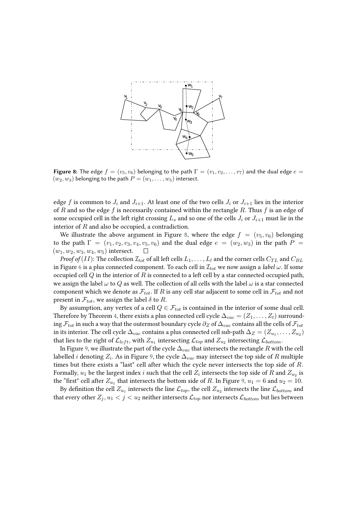<span id="page-14-0"></span>

**Figure 8:** The edge  $f = (v_5, v_6)$  belonging to the path  $\Gamma = (v_1, v_2, \dots, v_7)$  and the dual edge  $e =$  $(w_2, w_3)$  belonging to the path  $P = (w_1, \ldots, w_5)$  intersect.

edge f is common to  $J_i$  and  $J_{i+1}$ . At least one of the two cells  $J_i$  or  $J_{i+1}$  lies in the interior of R and so the edge f is necessarily contained within the rectangle R. Thus f is an edge of some occupied cell in the left right crossing  $L_s$  and so one of the cells  $J_i$  or  $J_{i+1}$  must lie in the interior of  $R$  and also be occupied, a contradiction.

We illustrate the above argument in Figure [8,](#page-14-0) where the edge  $f = (v_5, v_6)$  belonging to the path  $\Gamma = (v_1, v_2, v_3, v_4, v_5, v_6)$  and the dual edge  $e = (w_2, w_3)$  in the path  $P =$  $(w_1, w_2, w_3, w_4, w_5)$  intersect.  $\Box$ 

*Proof of* (*II*): The collection  $\mathcal{I}_{tot}$  of all left cells  $L_1, \ldots, L_l$  and the corner cells  $C_{TL}$  and  $C_{BL}$ in Figure [6](#page-12-0) is a plus connected component. To each cell in  $\mathcal{I}_{tot}$  we now assign a *label*  $\omega$ . If some occupied cell  $Q$  in the interior of  $R$  is connected to a left cell by a star connected occupied path, we assign the label  $\omega$  to Q as well. The collection of all cells with the label  $\omega$  is a star connected component which we denote as  $\mathcal{F}_{tot}$ . If R is any cell star adjacent to some cell in  $\mathcal{F}_{tot}$  and not present in  $\mathcal{F}_{tot}$ , we assign the label  $\delta$  to R.

By assumption, any vertex of a cell  $Q \in \mathcal{F}_{tot}$  is contained in the interior of some dual cell. Therefore by Theorem [4,](#page-9-1) there exists a plus connected cell cycle  $\Delta_{vac} = (Z_1, \ldots, Z_t)$  surrounding  $\mathcal{F}_{tot}$  in such a way that the outermost boundary cycle  $\partial_Z$  of  $\Delta_{vac}$  contains all the cells of  $\mathcal{F}_{tot}$ in its interior. The cell cycle  $\Delta_{vac}$  contains a plus connected cell sub-path  $\Delta_Z = (Z_{u_1}, \ldots, Z_{u_2})$ that lies to the right of  $\mathcal{L}_{left}$ , with  $Z_{u_1}$  intersecting  $\mathcal{L}_{top}$  and  $Z_{u_2}$  intersecting  $\mathcal{L}_{bottom}.$ 

In Figure [9,](#page-15-0) we illustrate the part of the cycle  $\Delta_{vac}$  that intersects the rectangle R with the cell labelled  $i$  denoting  $Z_i.$  As in Figure [9,](#page-15-0) the cycle  $\Delta_{vac}$  may intersect the top side of  $R$  multiple times but there exists a "last" cell after which the cycle never intersects the top side of  $R$ . Formally,  $u_1$  be the largest index  $i$  such that the cell  $Z_i$  intersects the top side of  $R$  and  $Z_{u_2}$  is the "first" cell after  $Z_{u_1}$  that intersects the bottom side of R. In Figure [9,](#page-15-0)  $u_1 = 6$  and  $u_2 = 10$ .

By definition the cell  $Z_{u_1}$  intersects the line  $\mathcal{L}_{top},$  the cell  $Z_{u_2}$  intersects the line  $\mathcal{L}_{bottom}$  and that every other  $Z_i, u_1 < j < u_2$  neither intersects  $\mathcal{L}_{top}$  nor intersects  $\mathcal{L}_{bottom}$  but lies between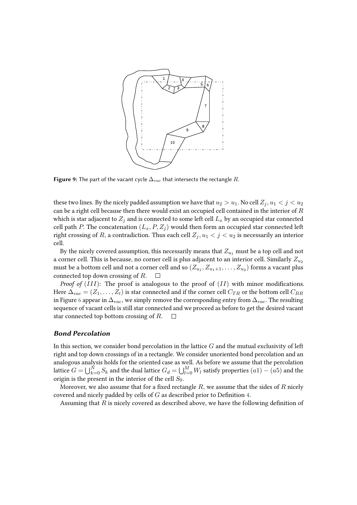<span id="page-15-0"></span>

**Figure 9:** The part of the vacant cycle  $\Delta_{vac}$  that intersects the rectangle R.

these two lines. By the nicely padded assumption we have that  $u_2 > u_1$ . No cell  $Z_i, u_1 < j < u_2$ can be a right cell because then there would exist an occupied cell contained in the interior of  $R$ which is star adjacent to  $Z_i$  and is connected to some left cell  $L_x$  by an occupied star connected cell path P. The concatenation  $(L_x, P, Z_i)$  would then form an occupied star connected left right crossing of R, a contradiction. Thus each cell  $Z_i, u_1 < j < u_2$  is necessarily an interior cell.

By the nicely covered assumption, this necessarily means that  $Z_{u_1}$  must be a top cell and not a corner cell. This is because, no corner cell is plus adjacent to an interior cell. Similarly  $Z_{u_2}$ must be a bottom cell and not a corner cell and so  $(Z_{u_1}, Z_{u_1+1}, \ldots, Z_{u_2})$  forms a vacant plus connected top down crossing of  $R$ .  $\Box$ 

*Proof of*  $(III)$ : The proof is analogous to the proof of  $(II)$  with minor modifications. Here  $\Delta_{vac} = (Z_1, \ldots, Z_t)$  is star connected and if the corner cell  $C_{TR}$  or the bottom cell  $C_{BR}$ in Figure [6](#page-12-0) appear in  $\Delta_{vac}$ , we simply remove the corresponding entry from  $\Delta_{vac}$ . The resulting sequence of vacant cells is still star connected and we proceed as before to get the desired vacant star connected top bottom crossing of  $R$ .  $\Box$ 

### **Bond Percolation**

In this section, we consider bond percolation in the lattice  $G$  and the mutual exclusivity of left right and top down crossings of in a rectangle. We consider unoriented bond percolation and an analogous analysis holds for the oriented case as well. As before we assume that the percolation lattice  $G=\bigcup_{k=0}^N S_k$  and the dual lattice  $G_d=\bigcup_{l=0}^M W_l$  satisfy properties  $(a1)-(a5)$  and the origin is the present in the interior of the cell  $S_0$ .

Moreover, we also assume that for a fixed rectangle  $R$ , we assume that the sides of  $R$  nicely covered and nicely padded by cells of  $G$  as described prior to Definition [4.](#page-12-2)

Assuming that  $R$  is nicely covered as described above, we have the following definition of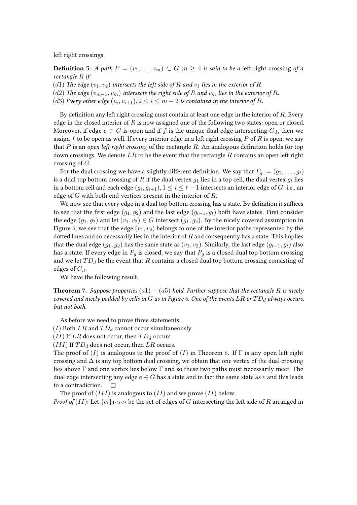left right crossings.

**Definition 5.** *A path*  $P = (v_1, \ldots, v_m) \subset G, m \ge 4$  *is said to be a* left right crossing of a *rectangle if:*

(d1) The edge  $(v_1, v_2)$  intersects the left side of  $R$  and  $v_1$  lies in the exterior of  $R$ .

(d2) The edge  $(v_{m-1}, v_m)$  intersects the right side of R and  $v_m$  lies in the exterior of R.

(d3) Every other edge  $(v_i,v_{i+1}), 2 \leq i \leq m-2$  is contained in the interior of R.

By definition any left right crossing must contain at least one edge in the interior of  $R$ . Every edge in the closed interior of  $R$  is now assigned one of the following two states: open or closed. Moreover, if edge  $e \in G$  is open and if f is the unique dual edge intersecting  $G_d$ , then we assign  $f$  to be open as well. If every interior edge in a left right crossing  $P$  of  $R$  is open, we say that  $P$  is an *open left right crossing* of the rectangle  $R$ . An analogous definition holds for top down crossings. We denote  $LR$  to be the event that the rectangle  $R$  contains an open left right crossing of  $G$ .

For the dual crossing we have a slightly different definition. We say that  $P_g := (g_1, \ldots, g_t)$ is a dual top bottom crossing of  $R$  if the dual vertex  $g_1$  lies in a top cell, the dual vertex  $g_t$  lies in a bottom cell and each edge  $(g_i,g_{i+1}), 1\leq i\leq t-1$  intersects an interior edge of  $G;$  i.e., an edge of  $G$  with both end-vertices present in the interior of  $R$ .

We now see that every edge in a dual top bottom crossing has a state. By definition it suffices to see that the first edge  $(g_1, g_2)$  and the last edge  $(g_{t-1}, g_t)$  both have states. First consider the edge  $(g_1, g_2)$  and let  $(v_1, v_2) \in G$  intersect  $(g_1, g_2)$ . By the nicely covered assumption in Figure [6,](#page-12-0) we see that the edge  $(v_1, v_2)$  belongs to one of the interior paths represented by the dotted lines and so necessarily lies in the interior of  $R$  and consequently has a state. This implies that the dual edge  $(g_1, g_2)$  has the same state as  $(v_1, v_2)$ . Similarly, the last edge  $(g_{t-1}, g_t)$  also has a state. If every edge in  $P_g$  is closed, we say that  $P_g$  is a closed dual top bottom crossing and we let  $TD_d$  be the event that  $R$  contains a closed dual top bottom crossing consisting of edges of  $G_d$ .

We have the following result.

**Theorem 7.** *Suppose properties*  $(a1) - (a5)$  *hold. Further suppose that the rectangle R is nicely covered and nicely padded by cells in*  $G$  *as in Figure* [6.](#page-12-0) One of the events  $LR$  or  $TD<sub>d</sub>$  always occurs, *but not both.*

As before we need to prove three statements:

(I) Both  $LR$  and  $TD_d$  cannot occur simultaneously.

 $(II)$  If LR does not occur, then  $TD_d$  occurs.

 $(III)$  If  $TD_d$  does not occur, then  $LR$  occurs.

The proof of (I) is analogous to the proof of (I) in Theorem [6.](#page-12-1) If  $\Gamma$  is any open left right crossing and  $\Delta$  is any top bottom dual crossing, we obtain that one vertex of the dual crossing lies above  $\Gamma$  and one vertex lies below  $\Gamma$  and so these two paths must necessarily meet. The dual edge intersecting any edge  $e \in G$  has a state and in fact the same state as e and this leads to a contradiction.  $\Box$ 

The proof of  $(III)$  is analogous to  $(II)$  and we prove  $(II)$  below.

*Proof of*  $(II)$ : Let  $\{e_i\}_{1\leq i\leq t}$  be the set of edges of  $G$  intersecting the left side of  $R$  arranged in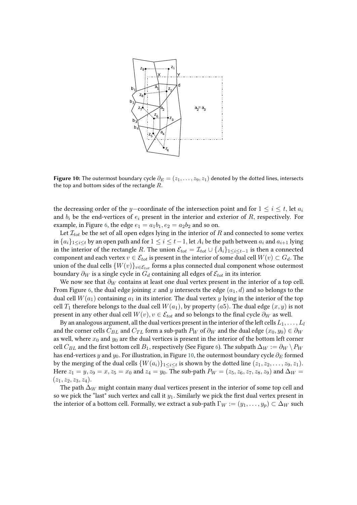<span id="page-17-0"></span>

**Figure 10:** The outermost boundary cycle  $\partial_E = (z_1, \ldots, z_9, z_1)$  denoted by the dotted lines, intersects the top and bottom sides of the rectangle  $R$ .

the decreasing order of the y-coordinate of the intersection point and for  $1 \leq i \leq t$ , let  $a_i$ and  $b_i$  be the end-vertices of  $e_i$  present in the interior and exterior of  $R$ , respectively. For example, in Figure [6,](#page-12-0) the edge  $e_1 = a_1b_1, e_2 = a_2b_2$  and so on.

Let  $\mathcal{I}_{tot}$  be the set of all open edges lying in the interior of R and connected to some vertex in  ${a_i}_{1 \leq i \leq t}$  by an open path and for  $1 \leq i \leq t-1$ , let  $A_i$  be the path between  $a_i$  and  $a_{i+1}$  lying in the interior of the rectangle R. The union  $\mathcal{E}_{tot} = \mathcal{I}_{tot} \cup \{A_i\}_{1 \leq i \leq t-1}$  is then a connected component and each vertex  $v \in \mathcal{E}_{tot}$  is present in the interior of some dual cell  $W(v) \subset G_d$ . The union of the dual cells  $\{W(v)\}_{v \in \mathcal{E}_{tot}}$  forms a plus connected dual component whose outermost boundary  $\partial_W$  is a single cycle in  $G_d$  containing all edges of  $\mathcal{E}_{tot}$  in its interior.

We now see that  $\partial_W$  contains at least one dual vertex present in the interior of a top cell. From Figure [6,](#page-12-0) the dual edge joining x and y intersects the edge  $(a_1, d)$  and so belongs to the dual cell  $W(a_1)$  containing  $a_1$  in its interior. The dual vertex y lying in the interior of the top cell  $T_1$  therefore belongs to the dual cell  $W(a_1)$ , by property (a5). The dual edge  $(x, y)$  is not present in any other dual cell  $W(v)$ ,  $v \in \mathcal{E}_{tot}$  and so belongs to the final cycle  $\partial_W$  as well.

By an analogous argument, all the dual vertices present in the interior of the left cells  $L_1, \ldots, L_l$ and the corner cells  $C_{BL}$  and  $C_{TL}$  form a sub-path  $P_W$  of  $\partial_W$  and the dual edge  $(x_0, y_0) \in \partial_W$ as well, where  $x_0$  and  $y_0$  are the dual vertices is present in the interior of the bottom left corner cell  $C_{BL}$  and the first bottom cell  $B_1$ , respectively (See Figure [6\)](#page-12-0). The subpath  $\Delta_W := \partial_W \setminus P_W$ has end-vertices y and  $y_0$ . For illustration, in Figure [10,](#page-17-0) the outermost boundary cycle  $\partial_E$  formed by the merging of the dual cells  $\{W(a_i)\}_{1\leq i\leq t}$  is shown by the dotted line  $(z_1,z_2,\ldots,z_9,z_1).$ Here  $z_1 = y, z_9 = x, z_5 = x_0$  and  $z_4 = y_0$ . The sub-path  $P_W = (z_5, z_6, z_7, z_8, z_9)$  and  $\Delta_W =$  $(z_1, z_2, z_3, z_4).$ 

The path  $\Delta_W$  might contain many dual vertices present in the interior of some top cell and so we pick the "last" such vertex and call it  $y_1$ . Similarly we pick the first dual vertex present in the interior of a bottom cell. Formally, we extract a sub-path  $\Gamma_W := (y_1, \ldots, y_p) \subset \Delta_W$  such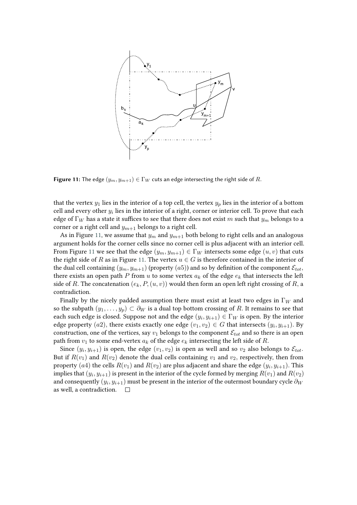<span id="page-18-0"></span>

**Figure 11:** The edge  $(y_m, y_{m+1}) \in \Gamma_W$  cuts an edge intersecting the right side of R.

that the vertex  $y_1$  lies in the interior of a top cell, the vertex  $y_p$  lies in the interior of a bottom cell and every other  $y_i$  lies in the interior of a right, corner or interior cell. To prove that each edge of  $\Gamma_W$  has a state it suffices to see that there does not exist m such that  $y_m$  belongs to a corner or a right cell and  $y_{m+1}$  belongs to a right cell.

As in Figure [11,](#page-18-0) we assume that  $y_m$  and  $y_{m+1}$  both belong to right cells and an analogous argument holds for the corner cells since no corner cell is plus adjacent with an interior cell. From Figure [11](#page-18-0) we see that the edge  $(y_m, y_{m+1}) \in \Gamma_W$  intersects some edge  $(u, v)$  that cuts the right side of R as in Figure [11.](#page-18-0) The vertex  $u \in G$  is therefore contained in the interior of the dual cell containing  $(y_m, y_{m+1})$  (property  $(a5)$ ) and so by definition of the component  $\mathcal{E}_{tot}$ , there exists an open path  $P$  from  $u$  to some vertex  $a_k$  of the edge  $e_k$  that intersects the left side of R. The concatenation  $(e_k, P, (u, v))$  would then form an open left right crossing of R, a contradiction.

Finally by the nicely padded assumption there must exist at least two edges in  $\Gamma_W$  and so the subpath  $(y_1, \ldots, y_p) \subset \partial_W$  is a dual top bottom crossing of R. It remains to see that each such edge is closed. Suppose not and the edge  $(y_i, y_{i+1}) \in \Gamma_W$  is open. By the interior edge property  $(a2)$ , there exists exactly one edge  $(v_1, v_2) \in G$  that intersects  $(y_i, y_{i+1})$ . By construction, one of the vertices, say  $v_1$  belongs to the component  $\mathcal{E}_{tot}$  and so there is an open path from  $v_1$  to some end-vertex  $a_k$  of the edge  $e_k$  intersecting the left side of R.

Since  $(y_i, y_{i+1})$  is open, the edge  $(v_1, v_2)$  is open as well and so  $v_2$  also belongs to  $\mathcal{E}_{tot}$ . But if  $R(v_1)$  and  $R(v_2)$  denote the dual cells containing  $v_1$  and  $v_2$ , respectively, then from property  $(a4)$  the cells  $R(v_1)$  and  $R(v_2)$  are plus adjacent and share the edge  $(y_i, y_{i+1})$ . This implies that  $(y_i, y_{i+1})$  is present in the interior of the cycle formed by merging  $R(v_1)$  and  $R(v_2)$ and consequently  $(y_i,y_{i+1})$  must be present in the interior of the outermost boundary cycle  $\partial_W$ as well, a contradiction.